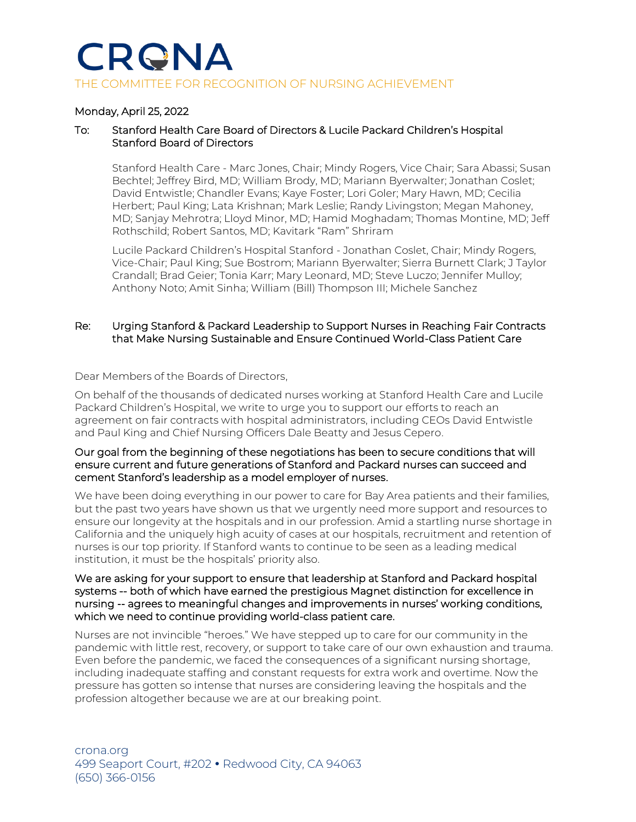## CRGNA THE COMMITTEE FOR RECOGNITION OF NURSING ACHIEVEMENT

#### Monday, April 25, 2022

#### To: Stanford Health Care Board of Directors & Lucile Packard Children's Hospital Stanford Board of Directors

Stanford Health Care - Marc Jones, Chair; Mindy Rogers, Vice Chair; Sara Abassi; Susan Bechtel; Jeffrey Bird, MD; William Brody, MD; Mariann Byerwalter; Jonathan Coslet; David Entwistle; Chandler Evans; Kaye Foster; Lori Goler; Mary Hawn, MD; Cecilia Herbert; Paul King; Lata Krishnan; Mark Leslie; Randy Livingston; Megan Mahoney, MD; Sanjay Mehrotra; Lloyd Minor, MD; Hamid Moghadam; Thomas Montine, MD; Jeff Rothschild; Robert Santos, MD; Kavitark "Ram" Shriram

Lucile Packard Children's Hospital Stanford - Jonathan Coslet, Chair; Mindy Rogers, Vice-Chair; Paul King; Sue Bostrom; Mariann Byerwalter; Sierra Burnett Clark; J Taylor Crandall; Brad Geier; Tonia Karr; Mary Leonard, MD; Steve Luczo; Jennifer Mulloy; Anthony Noto; Amit Sinha; William (Bill) Thompson III; Michele Sanchez

#### Re: Urging Stanford & Packard Leadership to Support Nurses in Reaching Fair Contracts that Make Nursing Sustainable and Ensure Continued World-Class Patient Care

Dear Members of the Boards of Directors,

On behalf of the thousands of dedicated nurses working at Stanford Health Care and Lucile Packard Children's Hospital, we write to urge you to support our efforts to reach an agreement on fair contracts with hospital administrators, including CEOs David Entwistle and Paul King and Chief Nursing Officers Dale Beatty and Jesus Cepero.

#### Our goal from the beginning of these negotiations has been to secure conditions that will ensure current and future generations of Stanford and Packard nurses can succeed and cement Stanford's leadership as a model employer of nurses.

We have been doing everything in our power to care for Bay Area patients and their families, but the past two years have shown us that we urgently need more support and resources to ensure our longevity at the hospitals and in our profession. Amid a startling nurse shortage in California and the uniquely high acuity of cases at our hospitals, recruitment and retention of nurses is our top priority. If Stanford wants to continue to be seen as a leading medical institution, it must be the hospitals' priority also.

#### We are asking for your support to ensure that leadership at Stanford and Packard hospital systems -- both of which have earned the prestigious Magnet distinction for excellence in nursing -- agrees to meaningful changes and improvements in nurses' working conditions, which we need to continue providing world-class patient care.

Nurses are not invincible "heroes." We have stepped up to care for our community in the pandemic with little rest, recovery, or support to take care of our own exhaustion and trauma. Even before the pandemic, we faced the consequences of a significant nursing shortage, including inadequate staffing and constant requests for extra work and overtime. Now the pressure has gotten so intense that nurses are considering leaving the hospitals and the profession altogether because we are at our breaking point.